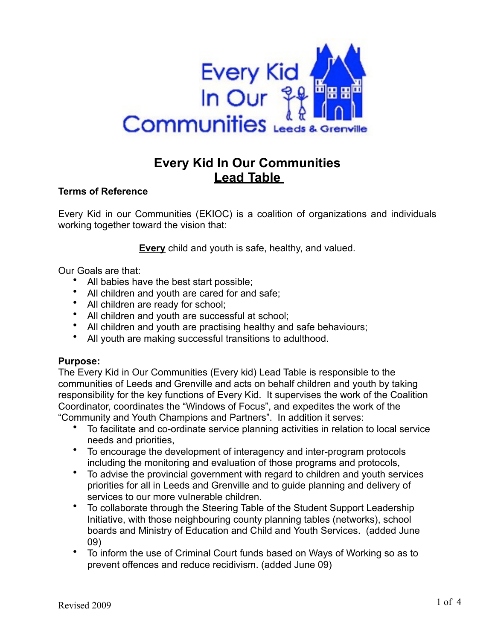

# **Every Kid In Our Communities Lead Table**

# **Terms of Reference**

Every Kid in our Communities (EKIOC) is a coalition of organizations and individuals working together toward the vision that:

**Every** child and youth is safe, healthy, and valued.

Our Goals are that:

- All babies have the best start possible;
- All children and youth are cared for and safe;
- All children are ready for school;
- All children and youth are successful at school;
- All children and youth are practising healthy and safe behaviours;
- All youth are making successful transitions to adulthood.

# **Purpose:**

The Every Kid in Our Communities (Every kid) Lead Table is responsible to the communities of Leeds and Grenville and acts on behalf children and youth by taking responsibility for the key functions of Every Kid. It supervises the work of the Coalition Coordinator, coordinates the "Windows of Focus", and expedites the work of the "Community and Youth Champions and Partners". In addition it serves:

- To facilitate and co-ordinate service planning activities in relation to local service needs and priorities,
- To encourage the development of interagency and inter-program protocols including the monitoring and evaluation of those programs and protocols,
- To advise the provincial government with regard to children and youth services priorities for all in Leeds and Grenville and to guide planning and delivery of services to our more vulnerable children.
- To collaborate through the Steering Table of the Student Support Leadership Initiative, with those neighbouring county planning tables (networks), school boards and Ministry of Education and Child and Youth Services. (added June 09)
- To inform the use of Criminal Court funds based on Ways of Working so as to prevent offences and reduce recidivism. (added June 09)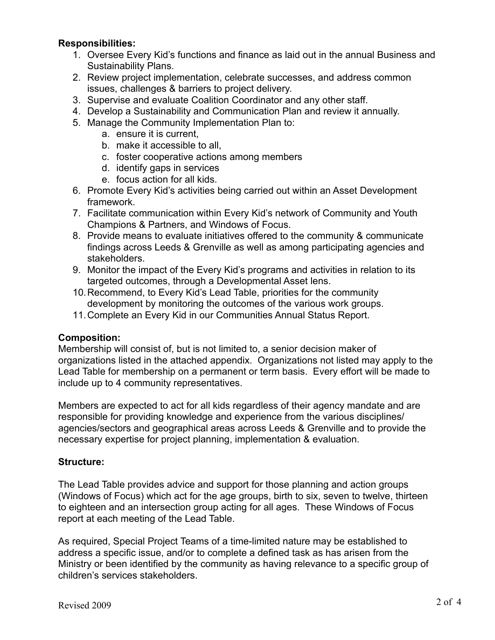# **Responsibilities:**

- 1. Oversee Every Kid's functions and finance as laid out in the annual Business and Sustainability Plans.
- 2. Review project implementation, celebrate successes, and address common issues, challenges & barriers to project delivery.
- 3. Supervise and evaluate Coalition Coordinator and any other staff.
- 4. Develop a Sustainability and Communication Plan and review it annually.
- 5. Manage the Community Implementation Plan to:
	- a. ensure it is current,
	- b. make it accessible to all,
	- c. foster cooperative actions among members
	- d. identify gaps in services
	- e. focus action for all kids.
- 6. Promote Every Kid's activities being carried out within an Asset Development framework.
- 7. Facilitate communication within Every Kid's network of Community and Youth Champions & Partners, and Windows of Focus.
- 8. Provide means to evaluate initiatives offered to the community & communicate findings across Leeds & Grenville as well as among participating agencies and stakeholders.
- 9. Monitor the impact of the Every Kid's programs and activities in relation to its targeted outcomes, through a Developmental Asset lens.
- 10.Recommend, to Every Kid's Lead Table, priorities for the community development by monitoring the outcomes of the various work groups.
- 11.Complete an Every Kid in our Communities Annual Status Report.

# **Composition:**

Membership will consist of, but is not limited to, a senior decision maker of organizations listed in the attached appendix. Organizations not listed may apply to the Lead Table for membership on a permanent or term basis. Every effort will be made to include up to 4 community representatives.

Members are expected to act for all kids regardless of their agency mandate and are responsible for providing knowledge and experience from the various disciplines/ agencies/sectors and geographical areas across Leeds & Grenville and to provide the necessary expertise for project planning, implementation & evaluation.

# **Structure:**

The Lead Table provides advice and support for those planning and action groups (Windows of Focus) which act for the age groups, birth to six, seven to twelve, thirteen to eighteen and an intersection group acting for all ages. These Windows of Focus report at each meeting of the Lead Table.

As required, Special Project Teams of a time-limited nature may be established to address a specific issue, and/or to complete a defined task as has arisen from the Ministry or been identified by the community as having relevance to a specific group of children's services stakeholders.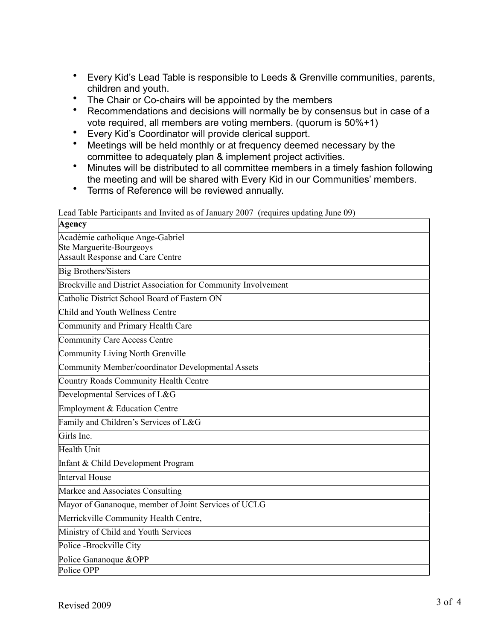- Every Kid's Lead Table is responsible to Leeds & Grenville communities, parents, children and youth.
- The Chair or Co-chairs will be appointed by the members
- Recommendations and decisions will normally be by consensus but in case of a vote required, all members are voting members. (quorum is 50%+1)
- Every Kid's Coordinator will provide clerical support.
- Meetings will be held monthly or at frequency deemed necessary by the committee to adequately plan & implement project activities.
- Minutes will be distributed to all committee members in a timely fashion following the meeting and will be shared with Every Kid in our Communities' members.
- Terms of Reference will be reviewed annually.

|  | Lead Table Participants and Invited as of January 2007 (requires updating June 09) |  |  |
|--|------------------------------------------------------------------------------------|--|--|
|--|------------------------------------------------------------------------------------|--|--|

| Agency                                                                     |
|----------------------------------------------------------------------------|
| Académie catholique Ange-Gabriel                                           |
| <b>Ste Marguerite-Bourgeoys</b><br><b>Assault Response and Care Centre</b> |
|                                                                            |
| <b>Big Brothers/Sisters</b>                                                |
| Brockville and District Association for Community Involvement              |
| Catholic District School Board of Eastern ON                               |
| Child and Youth Wellness Centre                                            |
| Community and Primary Health Care                                          |
| <b>Community Care Access Centre</b>                                        |
| <b>Community Living North Grenville</b>                                    |
| Community Member/coordinator Developmental Assets                          |
| Country Roads Community Health Centre                                      |
| Developmental Services of L&G                                              |
| Employment & Education Centre                                              |
| Family and Children's Services of L&G                                      |
| Girls Inc.                                                                 |
| Health Unit                                                                |
| Infant & Child Development Program                                         |
| <b>Interval House</b>                                                      |
| Markee and Associates Consulting                                           |
| Mayor of Gananoque, member of Joint Services of UCLG                       |
| Merrickville Community Health Centre,                                      |
| Ministry of Child and Youth Services                                       |
| Police - Brockville City                                                   |
| Police Gananoque &OPP                                                      |
| Police OPP                                                                 |